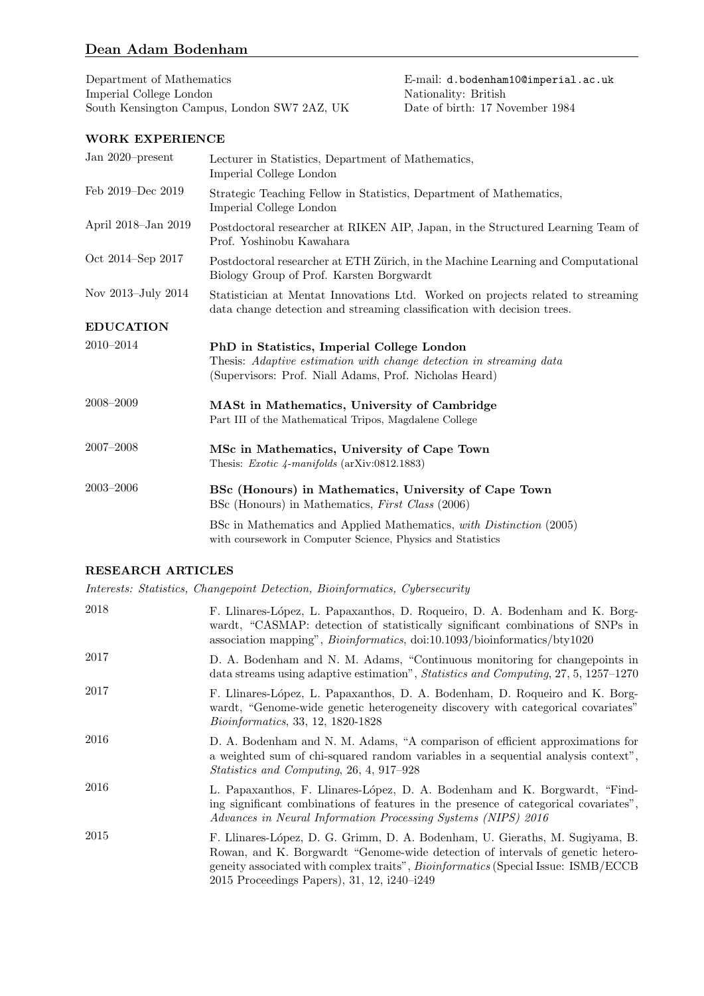# Dean Adam Bodenham

Department of Mathematics E-mail: d.bodenham10@imperial.ac.uk Imperial College London Nationality: British South Kensington Campus, London SW7 2AZ, UK Date of birth: 17 November 1984 South Kensington Campus, London SW7 2AZ, UK

# WORK EXPERIENCE

| Jan 2020–present    | Lecturer in Statistics, Department of Mathematics,<br>Imperial College London                                                                                               |
|---------------------|-----------------------------------------------------------------------------------------------------------------------------------------------------------------------------|
| Feb 2019–Dec 2019   | Strategic Teaching Fellow in Statistics, Department of Mathematics,<br>Imperial College London                                                                              |
| April 2018–Jan 2019 | Postdoctoral researcher at RIKEN AIP, Japan, in the Structured Learning Team of<br>Prof. Yoshinobu Kawahara                                                                 |
| Oct 2014–Sep 2017   | Postdoctoral researcher at ETH Zürich, in the Machine Learning and Computational<br>Biology Group of Prof. Karsten Borgwardt                                                |
| Nov 2013-July 2014  | Statistician at Mentat Innovations Ltd. Worked on projects related to streaming<br>data change detection and streaming classification with decision trees.                  |
| <b>EDUCATION</b>    |                                                                                                                                                                             |
| 2010-2014           | PhD in Statistics, Imperial College London<br>Thesis: Adaptive estimation with change detection in streaming data<br>(Supervisors: Prof. Niall Adams, Prof. Nicholas Heard) |
| 2008–2009           | MASt in Mathematics, University of Cambridge<br>Part III of the Mathematical Tripos, Magdalene College                                                                      |
| $2007 - 2008$       | MSc in Mathematics, University of Cape Town<br>Thesis: <i>Exotic 4-manifolds</i> ( $arXiv:0812.1883$ )                                                                      |
| $2003 - 2006$       | BSc (Honours) in Mathematics, University of Cape Town<br>BSc (Honours) in Mathematics, <i>First Class</i> (2006)                                                            |
|                     | BSc in Mathematics and Applied Mathematics, with Distinction (2005)<br>with coursework in Computer Science, Physics and Statistics                                          |

### RESEARCH ARTICLES

Interests: Statistics, Changepoint Detection, Bioinformatics, Cybersecurity

| 2018 | F. Llinares-López, L. Papaxanthos, D. Roqueiro, D. A. Bodenham and K. Borg-<br>wardt, "CASMAP: detection of statistically significant combinations of SNPs in<br>association mapping", <i>Bioinformatics</i> , doi:10.1093/bioinformatics/bty1020                                                          |
|------|------------------------------------------------------------------------------------------------------------------------------------------------------------------------------------------------------------------------------------------------------------------------------------------------------------|
| 2017 | D. A. Bodenham and N. M. Adams, "Continuous monitoring for changepoints in<br>data streams using adaptive estimation", <i>Statistics and Computing</i> , 27, 5, 1257–1270                                                                                                                                  |
| 2017 | F. Llinares-López, L. Papaxanthos, D. A. Bodenham, D. Roqueiro and K. Borg-<br>wardt, "Genome-wide genetic heterogeneity discovery with categorical covariates"<br><i>Bioinformatics</i> , 33, 12, 1820-1828                                                                                               |
| 2016 | D. A. Bodenham and N. M. Adams, "A comparison of efficient approximations for<br>a weighted sum of chi-squared random variables in a sequential analysis context".<br><i>Statistics and Computing, 26, 4, 917–928</i>                                                                                      |
| 2016 | L. Papaxanthos, F. Llinares-López, D. A. Bodenham and K. Borgwardt, "Find-<br>ing significant combinations of features in the presence of categorical covariates",<br>Advances in Neural Information Processing Systems (NIPS) 2016                                                                        |
| 2015 | F. Llinares-López, D. G. Grimm, D. A. Bodenham, U. Gieraths, M. Sugiyama, B.<br>Rowan, and K. Borgwardt "Genome-wide detection of intervals of genetic hetero-<br>geneity associated with complex traits", <i>Bioinformatics</i> (Special Issue: ISMB/ECCB)<br>2015 Proceedings Papers), 31, 12, i240-i249 |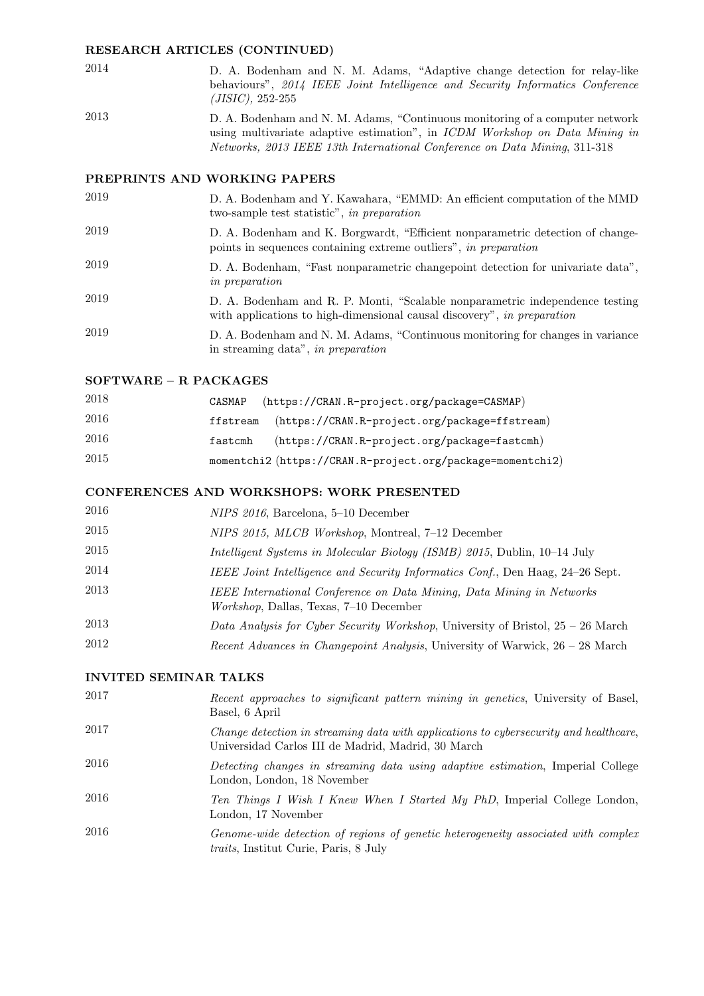#### RESEARCH ARTICLES (CONTINUED)

- 2014 D. A. Bodenham and N. M. Adams, "Adaptive change detection for relay-like behaviours", 2014 IEEE Joint Intelligence and Security Informatics Conference (JISIC), 252-255
- 2013 D. A. Bodenham and N. M. Adams, "Continuous monitoring of a computer network using multivariate adaptive estimation", in ICDM Workshop on Data Mining in Networks, 2013 IEEE 13th International Conference on Data Mining, 311-318

### PREPRINTS AND WORKING PAPERS

- 2019 D. A. Bodenham and Y. Kawahara, "EMMD: An efficient computation of the MMD two-sample test statistic", in preparation
- 2019 D. A. Bodenham and K. Borgwardt, "Efficient nonparametric detection of changepoints in sequences containing extreme outliers", in preparation
- 2019 D. A. Bodenham, "Fast nonparametric changepoint detection for univariate data", in preparation
- 2019 D. A. Bodenham and R. P. Monti, "Scalable nonparametric independence testing with applications to high-dimensional causal discovery", in preparation
- 2019 D. A. Bodenham and N. M. Adams, "Continuous monitoring for changes in variance in streaming data", in preparation

### SOFTWARE – R PACKAGES

| 2018 | CASMAP   | (https://CRAN.R-project.org/package=CASMAP)                |
|------|----------|------------------------------------------------------------|
| 2016 | ffstream | (https://CRAN.R-project.org/package=ffstream)              |
| 2016 | fastcmh  | (https://CRAN.R-project.org/package=fastcmh)               |
| 2015 |          | momentchi2 (https://CRAN.R-project.org/package=momentchi2) |

# CONFERENCES AND WORKSHOPS: WORK PRESENTED

| 2016 | NIPS 2016, Barcelona, 5-10 December                                                                                     |
|------|-------------------------------------------------------------------------------------------------------------------------|
| 2015 | NIPS 2015, MLCB Workshop, Montreal, 7-12 December                                                                       |
| 2015 | Intelligent Systems in Molecular Biology (ISMB) 2015, Dublin, 10–14 July                                                |
| 2014 | IEEE Joint Intelligence and Security Informatics Conf., Den Haag, 24–26 Sept.                                           |
| 2013 | IEEE International Conference on Data Mining, Data Mining in Networks<br><i>Workshop</i> , Dallas, Texas, 7–10 December |
| 2013 | Data Analysis for Cyber Security Workshop, University of Bristol, 25 – 26 March                                         |
| 2012 | Recent Advances in Changepoint Analysis, University of Warwick, 26 – 28 March                                           |

### INVITED SEMINAR TALKS

| 2017 | Recent approaches to significant pattern mining in genetics, University of Basel,<br>Basel, 6 April                                         |
|------|---------------------------------------------------------------------------------------------------------------------------------------------|
| 2017 | Change detection in streaming data with applications to cybersecurity and healthcare,<br>Universidad Carlos III de Madrid, Madrid, 30 March |
| 2016 | Detecting changes in streaming data using adaptive estimation, Imperial College<br>London, London, 18 November                              |
| 2016 | Ten Things I Wish I Knew When I Started My PhD, Imperial College London,<br>London, 17 November                                             |
| 2016 | Genome-wide detection of regions of genetic heterogeneity associated with complex<br>traits, Institut Curie, Paris, 8 July                  |